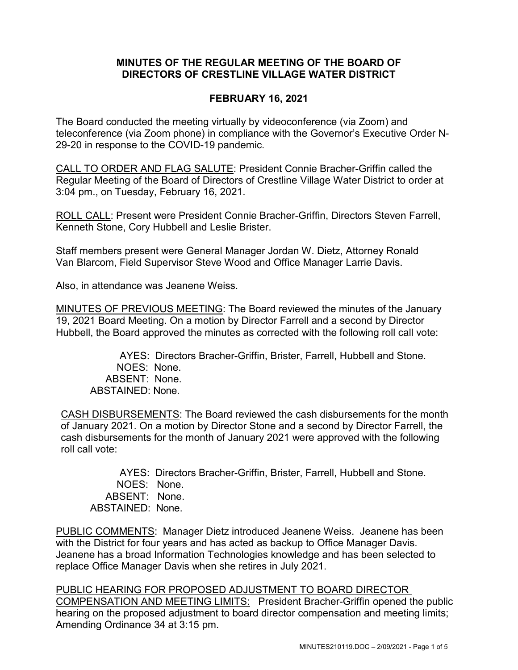## **MINUTES OF THE REGULAR MEETING OF THE BOARD OF DIRECTORS OF CRESTLINE VILLAGE WATER DISTRICT**

## **FEBRUARY 16, 2021**

The Board conducted the meeting virtually by videoconference (via Zoom) and teleconference (via Zoom phone) in compliance with the Governor's Executive Order N-29-20 in response to the COVID-19 pandemic.

CALL TO ORDER AND FLAG SALUTE: President Connie Bracher-Griffin called the Regular Meeting of the Board of Directors of Crestline Village Water District to order at 3:04 pm., on Tuesday, February 16, 2021.

ROLL CALL: Present were President Connie Bracher-Griffin, Directors Steven Farrell, Kenneth Stone, Cory Hubbell and Leslie Brister.

Staff members present were General Manager Jordan W. Dietz, Attorney Ronald Van Blarcom, Field Supervisor Steve Wood and Office Manager Larrie Davis.

Also, in attendance was Jeanene Weiss.

MINUTES OF PREVIOUS MEETING: The Board reviewed the minutes of the January 19, 2021 Board Meeting. On a motion by Director Farrell and a second by Director Hubbell, the Board approved the minutes as corrected with the following roll call vote:

AYES: Directors Bracher-Griffin, Brister, Farrell, Hubbell and Stone. NOES: None. ABSENT: None. ABSTAINED: None.

CASH DISBURSEMENTS: The Board reviewed the cash disbursements for the month of January 2021. On a motion by Director Stone and a second by Director Farrell, the cash disbursements for the month of January 2021 were approved with the following roll call vote:

AYES: Directors Bracher-Griffin, Brister, Farrell, Hubbell and Stone. NOES: None. ABSENT: None. ABSTAINED: None.

PUBLIC COMMENTS: Manager Dietz introduced Jeanene Weiss. Jeanene has been with the District for four years and has acted as backup to Office Manager Davis. Jeanene has a broad Information Technologies knowledge and has been selected to replace Office Manager Davis when she retires in July 2021.

PUBLIC HEARING FOR PROPOSED ADJUSTMENT TO BOARD DIRECTOR COMPENSATION AND MEETING LIMITS: President Bracher-Griffin opened the public hearing on the proposed adjustment to board director compensation and meeting limits; Amending Ordinance 34 at 3:15 pm.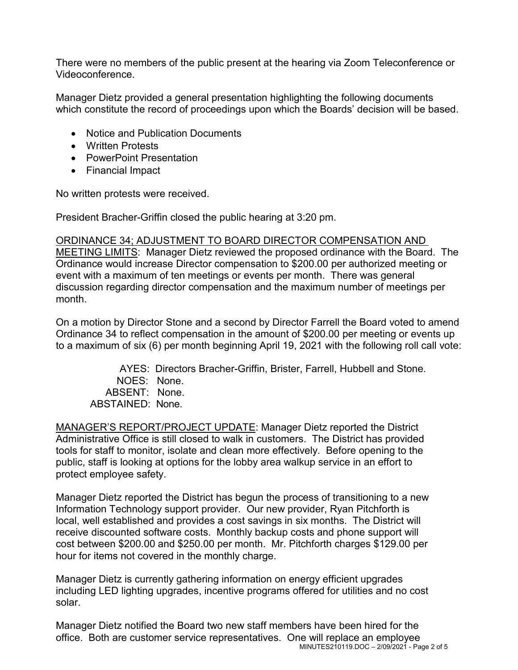There were no members of the public present at the hearing via Zoom Teleconference or Videoconference.

Manager Dietz provided a general presentation highlighting the following documents which constitute the record of proceedings upon which the Boards' decision will be based.

- Notice and Publication Documents
- Written Protests
- PowerPoint Presentation
- Financial Impact

No written protests were received.

President Bracher-Griffin closed the public hearing at 3:20 pm.

## ORDINANCE 34; ADJUSTMENT TO BOARD DIRECTOR COMPENSATION AND

MEETING LIMITS: Manager Dietz reviewed the proposed ordinance with the Board. The Ordinance would increase Director compensation to \$200.00 per authorized meeting or event with a maximum of ten meetings or events per month. There was general discussion regarding director compensation and the maximum number of meetings per month.

On a motion by Director Stone and a second by Director Farrell the Board voted to amend Ordinance 34 to reflect compensation in the amount of \$200.00 per meeting or events up to a maximum of six (6) per month beginning April 19, 2021 with the following roll call vote:

AYES: Directors Bracher-Griffin, Brister, Farrell, Hubbell and Stone. NOES: None. ABSENT: None. ABSTAINED: None.

MANAGER'S REPORT/PROJECT UPDATE: Manager Dietz reported the District Administrative Office is still closed to walk in customers. The District has provided tools for staff to monitor, isolate and clean more effectively. Before opening to the public, staff is looking at options for the lobby area walkup service in an effort to protect employee safety.

Manager Dietz reported the District has begun the process of transitioning to a new Information Technology support provider. Our new provider, Ryan Pitchforth is local, well established and provides a cost savings in six months. The District will receive discounted software costs. Monthly backup costs and phone support will cost between \$200.00 and \$250.00 per month. Mr. Pitchforth charges \$129.00 per hour for items not covered in the monthly charge.

Manager Dietz is currently gathering information on energy efficient upgrades including LED lighting upgrades, incentive programs offered for utilities and no cost solar.

MINUTES210119.DOC – 2/09/2021 - Page 2 of 5 Manager Dietz notified the Board two new staff members have been hired for the office. Both are customer service representatives. One will replace an employee